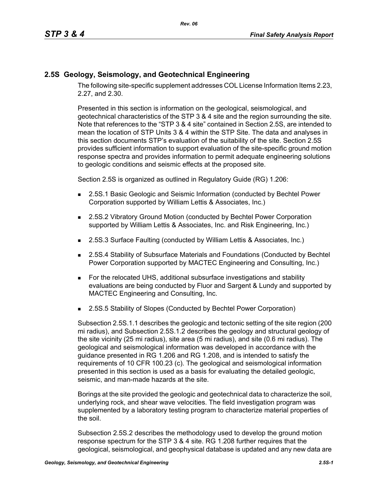## **2.5S Geology, Seismology, and Geotechnical Engineering**

The following site-specific supplement addresses COL License Information Items 2.23, 2.27, and 2.30.

Presented in this section is information on the geological, seismological, and geotechnical characteristics of the STP 3 & 4 site and the region surrounding the site. Note that references to the "STP 3 & 4 site" contained in Section 2.5S, are intended to mean the location of STP Units 3 & 4 within the STP Site. The data and analyses in this section documents STP's evaluation of the suitability of the site. Section 2.5S provides sufficient information to support evaluation of the site-specific ground motion response spectra and provides information to permit adequate engineering solutions to geologic conditions and seismic effects at the proposed site.

Section 2.5S is organized as outlined in Regulatory Guide (RG) 1.206:

- **2.5S.1 Basic Geologic and Seismic Information (conducted by Bechtel Power** Corporation supported by William Lettis & Associates, Inc.)
- 2.5S.2 Vibratory Ground Motion (conducted by Bechtel Power Corporation supported by William Lettis & Associates, Inc. and Risk Engineering, Inc.)
- 2.5S.3 Surface Faulting (conducted by William Lettis & Associates, Inc.)
- 2.5S.4 Stability of Subsurface Materials and Foundations (Conducted by Bechtel Power Corporation supported by MACTEC Engineering and Consulting, Inc.)
- For the relocated UHS, additional subsurface investigations and stability evaluations are being conducted by Fluor and Sargent & Lundy and supported by MACTEC Engineering and Consulting, Inc.
- 2.5S.5 Stability of Slopes (Conducted by Bechtel Power Corporation)

Subsection 2.5S.1.1 describes the geologic and tectonic setting of the site region (200 mi radius), and Subsection 2.5S.1.2 describes the geology and structural geology of the site vicinity (25 mi radius), site area (5 mi radius), and site (0.6 mi radius). The geological and seismological information was developed in accordance with the guidance presented in RG 1.206 and RG 1.208, and is intended to satisfy the requirements of 10 CFR 100.23 (c). The geological and seismological information presented in this section is used as a basis for evaluating the detailed geologic, seismic, and man-made hazards at the site.

Borings at the site provided the geologic and geotechnical data to characterize the soil, underlying rock, and shear wave velocities. The field investigation program was supplemented by a laboratory testing program to characterize material properties of the soil.

Subsection 2.5S.2 describes the methodology used to develop the ground motion response spectrum for the STP 3 & 4 site. RG 1.208 further requires that the geological, seismological, and geophysical database is updated and any new data are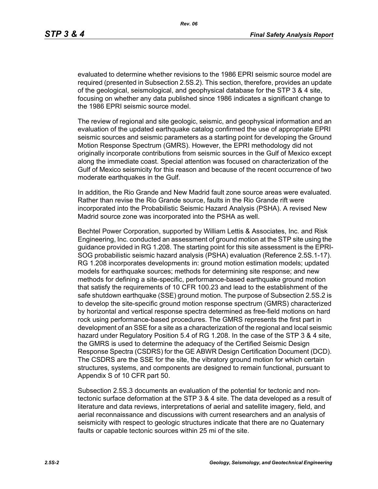evaluated to determine whether revisions to the 1986 EPRI seismic source model are required (presented in Subsection 2.5S.2). This section, therefore, provides an update of the geological, seismological, and geophysical database for the STP 3 & 4 site, focusing on whether any data published since 1986 indicates a significant change to the 1986 EPRI seismic source model.

The review of regional and site geologic, seismic, and geophysical information and an evaluation of the updated earthquake catalog confirmed the use of appropriate EPRI seismic sources and seismic parameters as a starting point for developing the Ground Motion Response Spectrum (GMRS). However, the EPRI methodology did not originally incorporate contributions from seismic sources in the Gulf of Mexico except along the immediate coast. Special attention was focused on characterization of the Gulf of Mexico seismicity for this reason and because of the recent occurrence of two moderate earthquakes in the Gulf.

In addition, the Rio Grande and New Madrid fault zone source areas were evaluated. Rather than revise the Rio Grande source, faults in the Rio Grande rift were incorporated into the Probabilistic Seismic Hazard Analysis (PSHA). A revised New Madrid source zone was incorporated into the PSHA as well.

Bechtel Power Corporation, supported by William Lettis & Associates, Inc. and Risk Engineering, Inc. conducted an assessment of ground motion at the STP site using the guidance provided in RG 1.208. The starting point for this site assessment is the EPRI-SOG probabilistic seismic hazard analysis (PSHA) evaluation (Reference 2.5S.1-17). RG 1.208 incorporates developments in: ground motion estimation models; updated models for earthquake sources; methods for determining site response; and new methods for defining a site-specific, performance-based earthquake ground motion that satisfy the requirements of 10 CFR 100.23 and lead to the establishment of the safe shutdown earthquake (SSE) ground motion. The purpose of Subsection 2.5S.2 is to develop the site-specific ground motion response spectrum (GMRS) characterized by horizontal and vertical response spectra determined as free-field motions on hard rock using performance-based procedures. The GMRS represents the first part in development of an SSE for a site as a characterization of the regional and local seismic hazard under Regulatory Position 5.4 of RG 1.208. In the case of the STP 3 & 4 site, the GMRS is used to determine the adequacy of the Certified Seismic Design Response Spectra (CSDRS) for the GE ABWR Design Certification Document (DCD). The CSDRS are the SSE for the site, the vibratory ground motion for which certain structures, systems, and components are designed to remain functional, pursuant to Appendix S of 10 CFR part 50.

Subsection 2.5S.3 documents an evaluation of the potential for tectonic and nontectonic surface deformation at the STP 3 & 4 site. The data developed as a result of literature and data reviews, interpretations of aerial and satellite imagery, field, and aerial reconnaissance and discussions with current researchers and an analysis of seismicity with respect to geologic structures indicate that there are no Quaternary faults or capable tectonic sources within 25 mi of the site.